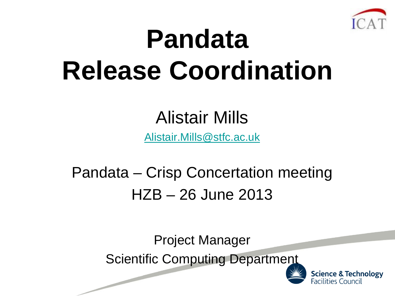

# **Pandata Release Coordination**

### Alistair Mills

[Alistair.Mills@stfc.ac.uk](mailto:Alistair.Mills@stfc.ac.uk)

### Pandata – Crisp Concertation meeting HZB – 26 June 2013

Project Manager Scientific Computing Department



**Science & Technology** Facilities Council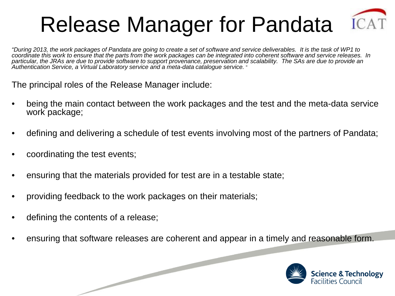### Release Manager for Pandata



*"During 2013, the work packages of Pandata are going to create a set of software and service deliverables. It is the task of WP1 to coordinate this work to ensure that the parts from the work packages can be integrated into coherent software and service releases. In particular, the JRAs are due to provide software to support provenance, preservation and scalability. The SAs are due to provide an Authentication Service, a Virtual Laboratory service and a meta-data catalogue service.* "

The principal roles of the Release Manager include:

- being the main contact between the work packages and the test and the meta-data service work package;
- defining and delivering a schedule of test events involving most of the partners of Pandata;
- coordinating the test events;
- ensuring that the materials provided for test are in a testable state;
- providing feedback to the work packages on their materials;

- defining the contents of a release;
- ensuring that software releases are coherent and appear in a timely and reasonable form.

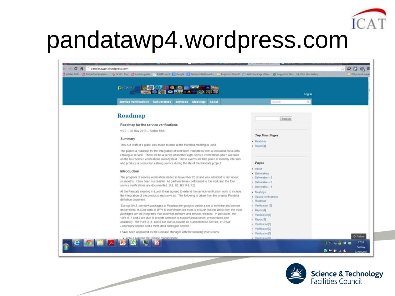

### pandatawp4.wordpress.com

| Alatan Mits C Ratheford Appleto 2 Scott - Tox C La Gumputte C SCATPmiert E Google E Alatan's dashboard C Imported From E (1) Add New Page / Pan. 2 Supported Stee: 53 Web Sice Gallery                                                                                                                                                                                                     |                                         |                      |
|--------------------------------------------------------------------------------------------------------------------------------------------------------------------------------------------------------------------------------------------------------------------------------------------------------------------------------------------------------------------------------------------|-----------------------------------------|----------------------|
| <b>NOCES COMPANY</b><br><b>D</b> arijdata                                                                                                                                                                                                                                                                                                                                                  | Log in                                  |                      |
| <b>Service verifications</b><br><b>Deliverables</b><br>Meetings About<br><b>Services</b>                                                                                                                                                                                                                                                                                                   | $\alpha$<br><b>Search</b>               |                      |
| <b>Roadmap</b>                                                                                                                                                                                                                                                                                                                                                                             | Search                                  |                      |
| Roadmap for the service verifications                                                                                                                                                                                                                                                                                                                                                      |                                         |                      |
| v 0.7 - 30 May 2013 - Alistair Mills                                                                                                                                                                                                                                                                                                                                                       |                                         |                      |
|                                                                                                                                                                                                                                                                                                                                                                                            | <b>Top Four Pages</b>                   |                      |
| Summary                                                                                                                                                                                                                                                                                                                                                                                    | · Roadmap                               |                      |
| This is a draft of a plan I was asked to write at the Pandata meeting in Lund.                                                                                                                                                                                                                                                                                                             | $\blacktriangleright$ Report[4]         |                      |
| The plan is a roadmap for the integration of work from Pandata to form a federated meta-data<br>catalogue service. There will be a series of another eight service verifications which will build<br>on the four service verifications already held. These events will take place at monthly intervals<br>and produce a production catalog service during the life of the Pandata project. | Pages                                   |                      |
|                                                                                                                                                                                                                                                                                                                                                                                            | · About                                 |                      |
| Introduction                                                                                                                                                                                                                                                                                                                                                                               | · Deliverables                          |                      |
| The program of service verification started in November 2012 and was intended to last about                                                                                                                                                                                                                                                                                                | n Deliverable - 3                       |                      |
| six months. It has been successful. All partners have contributed to the work and the four<br>service verifications are documented. [R1, R2, R3, R4, R5].                                                                                                                                                                                                                                  | » :Deliverable - 2<br>e Deliverable - 1 |                      |
| At the Pandata meeting in Lund, it was agreed to extend the service verification work to include                                                                                                                                                                                                                                                                                           | + Meetings                              |                      |
| the integration of the products and services. The following is taken from the original Pandata                                                                                                                                                                                                                                                                                             | - Senice verifications                  |                      |
| definition document.                                                                                                                                                                                                                                                                                                                                                                       | - Roadmap                               |                      |
| 'During 2013, the work packages of Pandata are going to create a set of software and service                                                                                                                                                                                                                                                                                               | + Verification [5]                      |                      |
| deliverables. It is the task of WP1 to coordinate this work to ensure that the parts from the work                                                                                                                                                                                                                                                                                         | $\in$ Report[4]                         |                      |
| packages can be integrated into coherent software and service releases. In particular, the<br>WPs 6. 7 and 8 are due to provide software to support provenance, preservation and                                                                                                                                                                                                           | + Verification[4]                       |                      |
| scalability. The WPs 3, 4, and 5 are due to provide an Authentication Service, a Virtual                                                                                                                                                                                                                                                                                                   | - Report[3]<br>- Verification[3]        |                      |
| Laboratory service and a meta-data catalogue service."                                                                                                                                                                                                                                                                                                                                     | e Verification[2]                       |                      |
| I have been appointed as the Release Manager with the following instructions.                                                                                                                                                                                                                                                                                                              | · Verification[1]                       |                      |
| <b>COBABBDE</b>                                                                                                                                                                                                                                                                                                                                                                            | Varific at ion(0)                       | <b>O</b> Follow      |
|                                                                                                                                                                                                                                                                                                                                                                                            |                                         | 17:10<br>□ 7 - 8 0 6 |

 $\overline{\phantom{0}}$ 

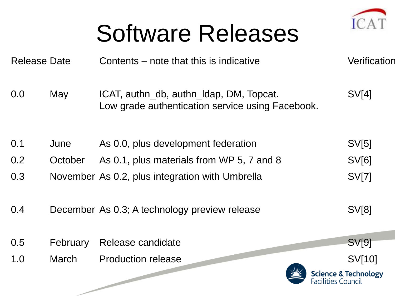

### Software Releases

| <b>Release Date</b> | Contents – note that this is indicative                                                     | Verification                                                                                                          |
|---------------------|---------------------------------------------------------------------------------------------|-----------------------------------------------------------------------------------------------------------------------|
| May                 | ICAT, authn_db, authn_Idap, DM, Topcat.<br>Low grade authentication service using Facebook. | SV[4]                                                                                                                 |
| June                | As 0.0, plus development federation                                                         | SV[5]                                                                                                                 |
| October             | As 0.1, plus materials from WP 5, 7 and 8                                                   | <b>SV[6]</b>                                                                                                          |
|                     |                                                                                             | <b>SV[7]</b>                                                                                                          |
|                     |                                                                                             | SV[8]                                                                                                                 |
| February            |                                                                                             | <b>SV[9]</b>                                                                                                          |
| <b>March</b>        | <b>Production release</b><br>Facilities Council                                             | SV[10]<br><b>Science &amp; Technology</b>                                                                             |
|                     |                                                                                             | November As 0.2, plus integration with Umbrella<br>December As 0.3; A technology preview release<br>Release candidate |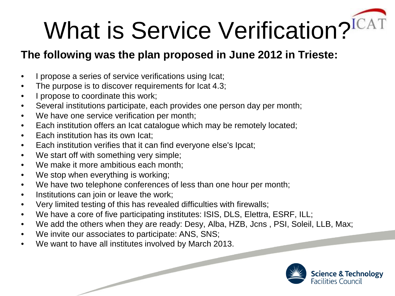# What is Service Verification?<sup>IC</sup>

#### **The following was the plan proposed in June 2012 in Trieste:**

- I propose a series of service verifications using Icat;
- The purpose is to discover requirements for lcat 4.3;
- I propose to coordinate this work;
- Several institutions participate, each provides one person day per month;
- We have one service verification per month;
- Each institution offers an Icat catalogue which may be remotely located;
- Each institution has its own Icat:
- Each institution verifies that it can find everyone else's Ipcat;
- We start off with something very simple;
- We make it more ambitious each month;
- We stop when everything is working;
- We have two telephone conferences of less than one hour per month;
- Institutions can join or leave the work;
- Very limited testing of this has revealed difficulties with firewalls;
- We have a core of five participating institutes: ISIS, DLS, Elettra, ESRF, ILL;
- We add the others when they are ready: Desy, Alba, HZB, Jcns, PSI, Soleil, LLB, Max;
- We invite our associates to participate: ANS, SNS;
- We want to have all institutes involved by March 2013.

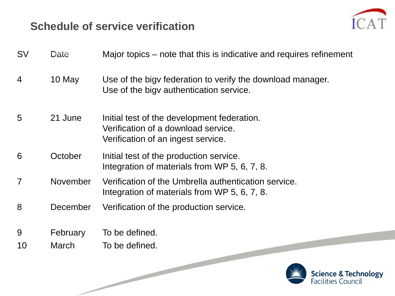#### **Schedule of service verification**

 $\overline{\phantom{0}}$ 



| <b>SV</b>      | Date         | Major topics – note that this is indicative and requires refinement                                                      |
|----------------|--------------|--------------------------------------------------------------------------------------------------------------------------|
| 4              | 10 May       | Use of the bigy federation to verify the download manager.<br>Use of the bigy authentication service.                    |
| 5              | 21 June      | Initial test of the development federation.<br>Verification of a download service.<br>Verification of an ingest service. |
| 6              | October      | Initial test of the production service.<br>Integration of materials from WP 5, 6, 7, 8.                                  |
| $\overline{7}$ | November     | Verification of the Umbrella authentication service.<br>Integration of materials from WP 5, 6, 7, 8.                     |
| 8              | December     | Verification of the production service.                                                                                  |
| 9              | February     | To be defined.                                                                                                           |
| 10             | <b>March</b> | To be defined.                                                                                                           |

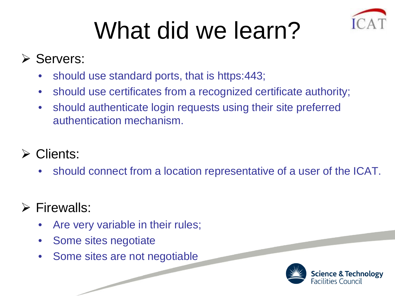

# What did we learn?

#### **≻ Servers:**

- should use standard ports, that is https:443;
- should use certificates from a recognized certificate authority;
- should authenticate login requests using their site preferred authentication mechanism.

#### Clients:

• should connect from a location representative of a user of the ICAT.

#### $\triangleright$  Firewalls:

- Are very variable in their rules;
- Some sites negotiate
- Some sites are not negotiable

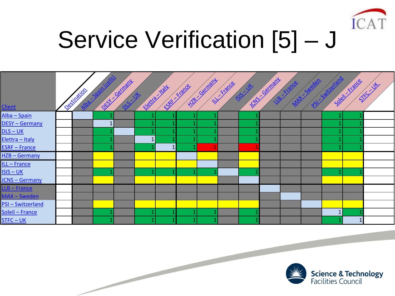

# Service Verification [5] – J

| <b>Client</b>          | <b>Destination</b> |  |  |      |  |  |              |  |
|------------------------|--------------------|--|--|------|--|--|--------------|--|
| Alba - Spain           |                    |  |  |      |  |  |              |  |
| <b>DESY-Germany</b>    |                    |  |  |      |  |  |              |  |
| $DIS - UK$             |                    |  |  |      |  |  |              |  |
| Elettra - Italy        |                    |  |  |      |  |  |              |  |
| <b>ESRF - France</b>   |                    |  |  | $-1$ |  |  |              |  |
| HZB-Germany            |                    |  |  |      |  |  |              |  |
| ILL-France             |                    |  |  |      |  |  |              |  |
| $ISIS - UK$            |                    |  |  |      |  |  |              |  |
| <b>JCNS - Germany</b>  |                    |  |  |      |  |  |              |  |
| LLB - France           |                    |  |  |      |  |  |              |  |
| MAX - Sweden           |                    |  |  |      |  |  |              |  |
| <b>PSI-Switzerland</b> |                    |  |  |      |  |  |              |  |
| Soleil - France        |                    |  |  |      |  |  | $\mathbf{1}$ |  |
| STFC – UK              |                    |  |  |      |  |  |              |  |

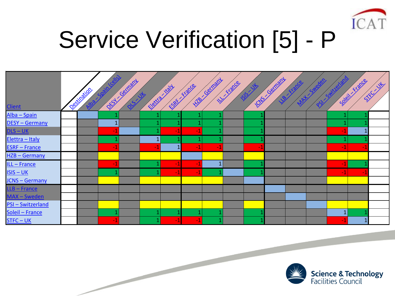

# Service Verification [5] - P

| <b>Client</b>          | <b>Desimination</b> |              |  |        |  |  |  |              |              |  |
|------------------------|---------------------|--------------|--|--------|--|--|--|--------------|--------------|--|
| Alba - Spain           |                     |              |  |        |  |  |  |              |              |  |
| DESY - Germany         |                     | $\mathbf{1}$ |  |        |  |  |  |              |              |  |
| $DLS - UK$             |                     |              |  |        |  |  |  |              |              |  |
| Elettra - Italy        |                     |              |  |        |  |  |  |              |              |  |
| <b>ESRF - France</b>   |                     |              |  |        |  |  |  | Q            |              |  |
| HZB-Germany            |                     |              |  |        |  |  |  |              |              |  |
| ILL - France           |                     |              |  | -1     |  |  |  |              |              |  |
| ISIS – UK              |                     |              |  |        |  |  |  | $-1$         | -1           |  |
| <b>JCNS - Germany</b>  |                     |              |  |        |  |  |  |              |              |  |
| LLB-France             |                     |              |  |        |  |  |  |              |              |  |
| MAX-Sweden             |                     |              |  |        |  |  |  |              |              |  |
| <b>PSI-Switzerland</b> |                     |              |  |        |  |  |  |              |              |  |
| Soleil - France        |                     |              |  |        |  |  |  | $\mathbf{1}$ |              |  |
| STFC – UK              |                     |              |  | $\sim$ |  |  |  |              | $\mathbf{1}$ |  |

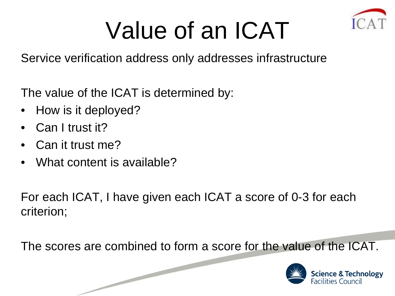

### Value of an ICAT

Service verification address only addresses infrastructure

The value of the ICAT is determined by:

- How is it deployed?
- Can I trust it?
- Can it trust me?
- What content is available?

For each ICAT, I have given each ICAT a score of 0-3 for each criterion;

The scores are combined to form a score for the value of the ICAT.

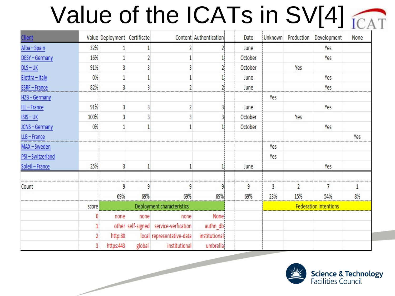## Value of the ICATs in SV[4]

| Client          |       | Value Deployment Certificate |        |                                       | Content Authentication | Date    |     |                | Unknown Production Development | None |
|-----------------|-------|------------------------------|--------|---------------------------------------|------------------------|---------|-----|----------------|--------------------------------|------|
| Alba-Spain      | 32%   |                              |        |                                       |                        | June    |     |                | Yes                            |      |
| DESY-Germany    | 16%   |                              |        |                                       |                        | October |     |                | Yes                            |      |
| $DIS – UK$      | 91%   |                              | 3      |                                       |                        | October |     | Yes            |                                |      |
| Elettra-Italy   | 0%    |                              |        |                                       |                        | June    |     |                | Yes                            |      |
| ESRF-France     | 82%   |                              | 3      |                                       |                        | June    |     |                | Yes                            |      |
| HZB-Germany     |       |                              |        |                                       |                        |         | Yes |                |                                |      |
| ILL-France      | 91%   |                              | 3      |                                       |                        | June    |     |                | Yes                            |      |
| $ISIS - UK$     | 100%  |                              |        |                                       |                        | October |     | Yes            |                                |      |
| JCNS-Germany    | 0%    |                              |        |                                       |                        | October |     |                | Yes                            |      |
| LLB-France      |       |                              |        |                                       |                        |         |     |                |                                | Yes  |
| MAX-Sweden      |       |                              |        |                                       |                        |         | Yes |                |                                |      |
| PSI-Switzerland |       |                              |        |                                       |                        |         | Yes |                |                                |      |
| Soleil-France   | 25%   |                              |        |                                       |                        | June    |     |                | Yes                            |      |
| Count           |       | 9                            | 9      | 9                                     | ٩                      | 9       | 3   | $\overline{2}$ | 7                              | 1    |
|                 |       | 69%                          | 69%    | 69%                                   | 69%                    | 69%     | 23% | 15%            | 54%                            | 8%   |
|                 | score |                              |        | Deployment characteristics            |                        |         |     |                | <b>Federation intentions</b>   |      |
|                 |       | none                         | none   | none                                  | None                   |         |     |                |                                |      |
|                 |       |                              |        | other self-signed service-verfication | authn_db               |         |     |                |                                |      |
|                 |       | http:80                      |        | local representative-data             | institutional          |         |     |                |                                |      |
|                 | 31    | https:443                    | global | institutional                         | umbrella               |         |     |                |                                |      |

 $\overline{\phantom{0}}$ 

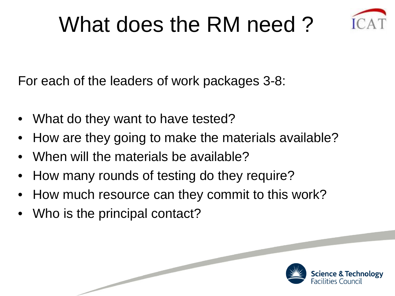### What does the RM need ?



Science & Technology lities Council

For each of the leaders of work packages 3-8:

- What do they want to have tested?
- How are they going to make the materials available?
- When will the materials be available?
- How many rounds of testing do they require?
- How much resource can they commit to this work?
- Who is the principal contact?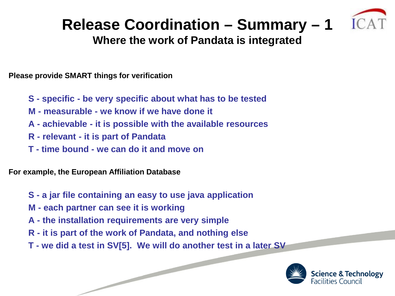#### **Release Coordination – Summary – 1**



#### **Where the work of Pandata is integrated**

**Please provide SMART things for verification**

- **S - specific - be very specific about what has to be tested**
- **M - measurable - we know if we have done it**
- **A - achievable - it is possible with the available resources**
- **R - relevant - it is part of Pandata**
- **T - time bound - we can do it and move on**

**For example, the European Affiliation Database**

- **S - a jar file containing an easy to use java application**
- **M - each partner can see it is working**
- **A - the installation requirements are very simple**
- **R - it is part of the work of Pandata, and nothing else**
- **T - we did a test in SV[5]. We will do another test in a later SV**

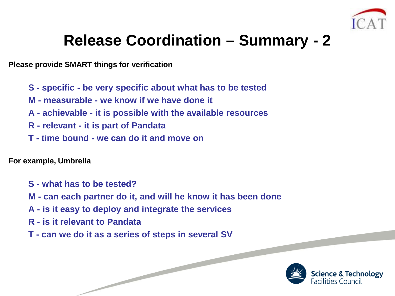

#### **Release Coordination – Summary - 2**

**Please provide SMART things for verification**

- **S - specific - be very specific about what has to be tested**
- **M - measurable - we know if we have done it**
- **A - achievable - it is possible with the available resources**
- **R - relevant - it is part of Pandata**
- **T - time bound - we can do it and move on**

**For example, Umbrella**

- **S - what has to be tested?**
- **M - can each partner do it, and will he know it has been done**
- **A - is it easy to deploy and integrate the services**
- **R - is it relevant to Pandata**
- **T - can we do it as a series of steps in several SV**

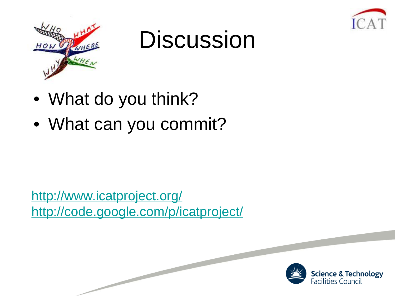



### **Discussion**

- What do you think?
- What can you commit?

<http://www.icatproject.org/> <http://code.google.com/p/icatproject/>